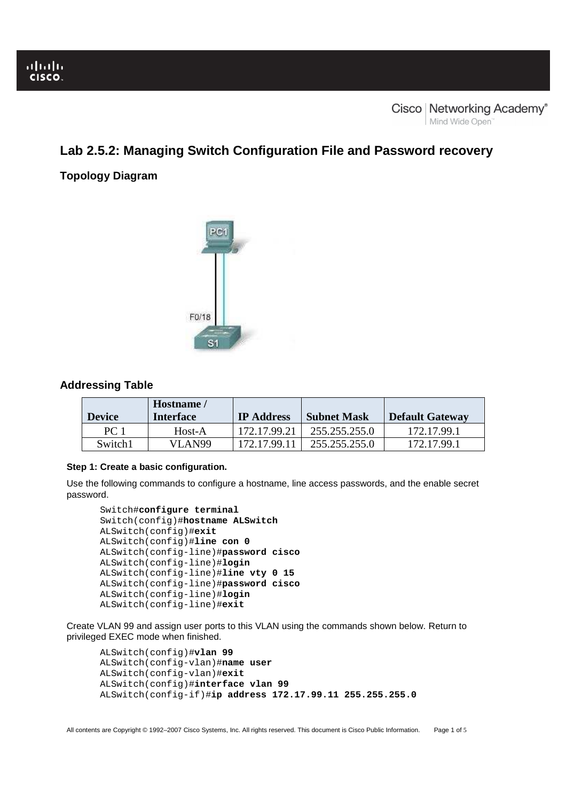# **Lab 2.5.2: Managing Switch Configuration File and Password recovery**

# **Topology Diagram**



# **Addressing Table**

| <b>Device</b> | Hostname/<br>Interface | <b>IP</b> Address | <b>Subnet Mask</b> | <b>Default Gateway</b> |
|---------------|------------------------|-------------------|--------------------|------------------------|
| PC 1          | Host-A                 | 172.17.99.21      | 255.255.255.0      | 172.17.99.1            |
| Switch1       | VLAN99                 | 172.17.99.11      | 255.255.255.0      | 172.17.99.1            |

# **Step 1: Create a basic configuration.**

Use the following commands to configure a hostname, line access passwords, and the enable secret password.

```
Switch#configure terminal 
Switch(config)#hostname ALSwitch 
ALSwitch(config)#exit 
ALSwitch(config)#line con 0 
ALSwitch(config-line)#password cisco 
ALSwitch(config-line)#login 
ALSwitch(config-line)#line vty 0 15 
ALSwitch(config-line)#password cisco 
ALSwitch(config-line)#login 
ALSwitch(config-line)#exit
```
Create VLAN 99 and assign user ports to this VLAN using the commands shown below. Return to privileged EXEC mode when finished.

```
ALSwitch(config)#vlan 99 
ALSwitch(config-vlan)#name user 
ALSwitch(config-vlan)#exit 
ALSwitch(config)#interface vlan 99
ALSwitch(config-if)#ip address 172.17.99.11 255.255.255.0
```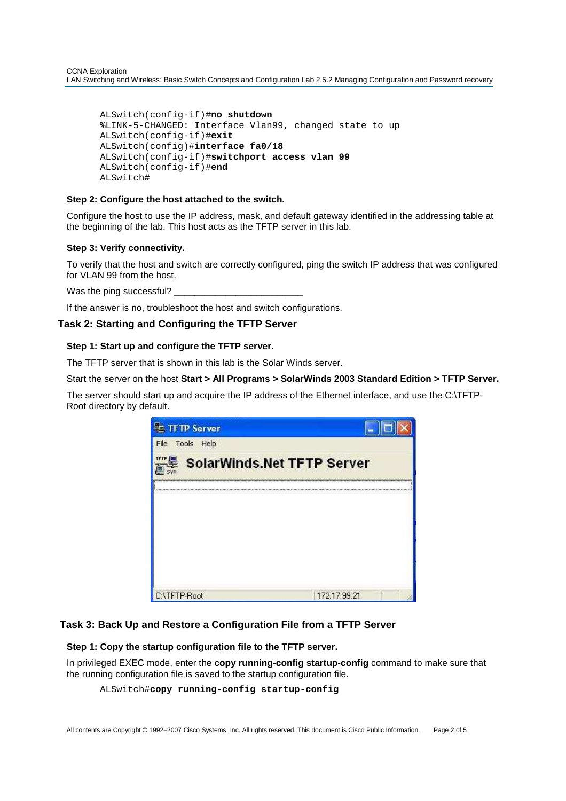```
ALSwitch(config-if)#no shutdown
%LINK-5-CHANGED: Interface Vlan99, changed state to up 
ALSwitch(config-if)#exit 
ALSwitch(config)#interface fa0/18 
ALSwitch(config-if)#switchport access vlan 99 
ALSwitch(config-if)#end
ALSwitch#
```
### **Step 2: Configure the host attached to the switch.**

Configure the host to use the IP address, mask, and default gateway identified in the addressing table at the beginning of the lab. This host acts as the TFTP server in this lab.

#### **Step 3: Verify connectivity.**

Ī

To verify that the host and switch are correctly configured, ping the switch IP address that was configured for VLAN 99 from the host.

Was the ping successful?

If the answer is no, troubleshoot the host and switch configurations.

# **Task 2: Starting and Configuring the TFTP Server**

#### **Step 1: Start up and configure the TFTP server.**

The TFTP server that is shown in this lab is the Solar Winds server.

Start the server on the host **Start > All Programs > SolarWinds 2003 Standard Edition > TFTP Server.**

The server should start up and acquire the IP address of the Ethernet interface, and use the C:\TFTP-Root directory by default.



# **Task 3: Back Up and Restore a Configuration File from a TFTP Server**

### **Step 1: Copy the startup configuration file to the TFTP server.**

In privileged EXEC mode, enter the **copy running-config startup-config** command to make sure that the running configuration file is saved to the startup configuration file.

```
ALSwitch#copy running-config startup-config
```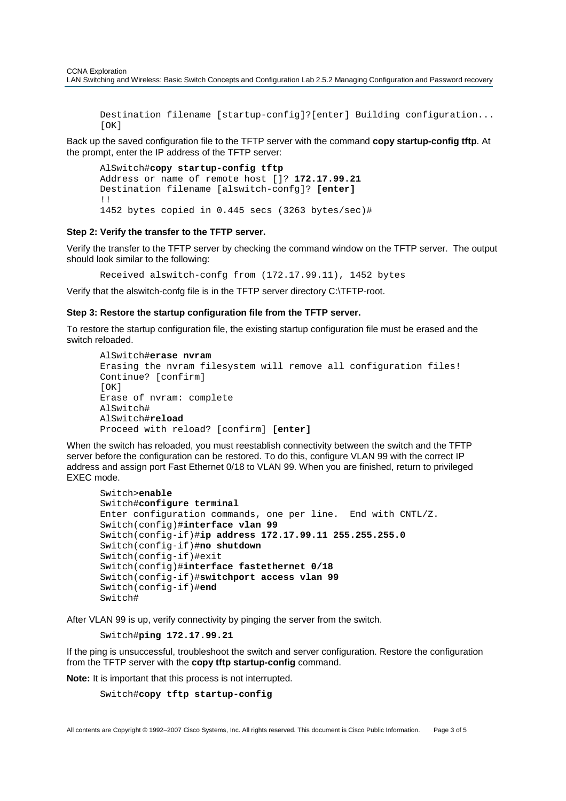Destination filename [startup-config]?[enter] Building configuration...  $[OK]$ 

Back up the saved configuration file to the TFTP server with the command **copy startup-config tftp**. At the prompt, enter the IP address of the TFTP server:

```
AlSwitch#copy startup-config tftp
Address or name of remote host []? 172.17.99.21 
Destination filename [alswitch-confg]? [enter] 
!! 
1452 bytes copied in 0.445 secs (3263 bytes/sec)#
```
#### **Step 2: Verify the transfer to the TFTP server.**

Ī

Verify the transfer to the TFTP server by checking the command window on the TFTP server. The output should look similar to the following:

Received alswitch-confg from (172.17.99.11), 1452 bytes

Verify that the alswitch-confg file is in the TFTP server directory C:\TFTP-root.

#### **Step 3: Restore the startup configuration file from the TFTP server.**

To restore the startup configuration file, the existing startup configuration file must be erased and the switch reloaded.

```
AlSwitch#erase nvram
Erasing the nvram filesystem will remove all configuration files! 
Continue? [confirm] 
[OK]Erase of nvram: complete 
AlSwitch# 
AlSwitch#reload 
Proceed with reload? [confirm] [enter]
```
When the switch has reloaded, you must reestablish connectivity between the switch and the TFTP server before the configuration can be restored. To do this, configure VLAN 99 with the correct IP address and assign port Fast Ethernet 0/18 to VLAN 99. When you are finished, return to privileged EXEC mode.

```
Switch>enable 
Switch#configure terminal
Enter configuration commands, one per line. End with CNTL/Z. 
Switch(config)#interface vlan 99
Switch(config-if)#ip address 172.17.99.11 255.255.255.0 
Switch(config-if)#no shutdown
Switch(config-if)#exit 
Switch(config)#interface fastethernet 0/18
Switch(config-if)#switchport access vlan 99 
Switch(config-if)#end 
Switch#
```
After VLAN 99 is up, verify connectivity by pinging the server from the switch.

```
Switch#ping 172.17.99.21
```
If the ping is unsuccessful, troubleshoot the switch and server configuration. Restore the configuration from the TFTP server with the **copy tftp startup-config** command.

**Note:** It is important that this process is not interrupted.

Switch#**copy tftp startup-config**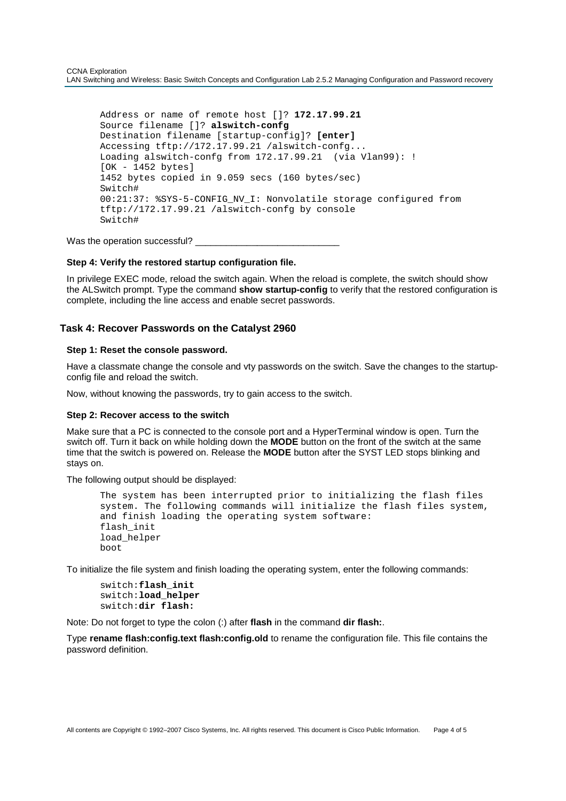Address or name of remote host []? **172.17.99.21**  Source filename []? **alswitch-confg**  Destination filename [startup-config]? **[enter]** Accessing tftp://172.17.99.21 /alswitch-confg... Loading alswitch-confg from 172.17.99.21 (via Vlan99): ! [OK - 1452 bytes] 1452 bytes copied in 9.059 secs (160 bytes/sec) Switch# 00:21:37: %SYS-5-CONFIG\_NV\_I: Nonvolatile storage configured from tftp://172.17.99.21 /alswitch-confg by console Switch#

Was the operation successful? \_\_\_\_\_

# **Step 4: Verify the restored startup configuration file.**

In privilege EXEC mode, reload the switch again. When the reload is complete, the switch should show the ALSwitch prompt. Type the command **show startup-config** to verify that the restored configuration is complete, including the line access and enable secret passwords.

#### **Task 4: Recover Passwords on the Catalyst 2960**

#### **Step 1: Reset the console password.**

Ī

Have a classmate change the console and vty passwords on the switch. Save the changes to the startupconfig file and reload the switch.

Now, without knowing the passwords, try to gain access to the switch.

#### **Step 2: Recover access to the switch**

Make sure that a PC is connected to the console port and a HyperTerminal window is open. Turn the switch off. Turn it back on while holding down the **MODE** button on the front of the switch at the same time that the switch is powered on. Release the **MODE** button after the SYST LED stops blinking and stays on.

The following output should be displayed:

```
The system has been interrupted prior to initializing the flash files 
system. The following commands will initialize the flash files system, 
and finish loading the operating system software: 
flash_init 
load_helper 
boot
```
To initialize the file system and finish loading the operating system, enter the following commands:

switch:**flash\_init** switch:**load\_helper** switch:**dir flash:**

Note: Do not forget to type the colon (:) after **flash** in the command **dir flash:**.

Type **rename flash:config.text flash:config.old** to rename the configuration file. This file contains the password definition.